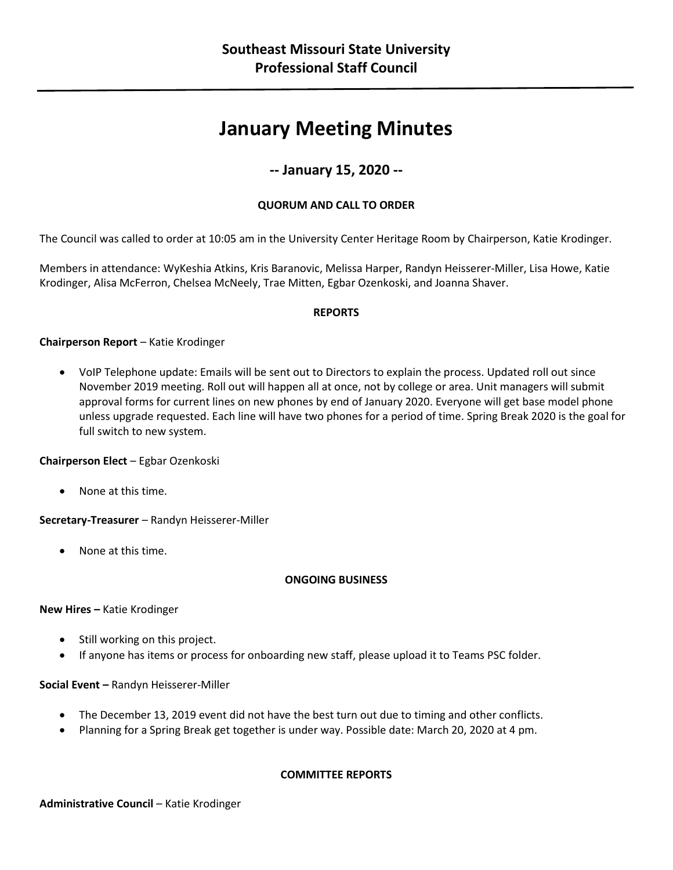# **January Meeting Minutes**

# **-- January 15, 2020 --**

# **QUORUM AND CALL TO ORDER**

The Council was called to order at 10:05 am in the University Center Heritage Room by Chairperson, Katie Krodinger.

Members in attendance: WyKeshia Atkins, Kris Baranovic, Melissa Harper, Randyn Heisserer-Miller, Lisa Howe, Katie Krodinger, Alisa McFerron, Chelsea McNeely, Trae Mitten, Egbar Ozenkoski, and Joanna Shaver.

# **REPORTS**

# **Chairperson Report** – Katie Krodinger

• VoIP Telephone update: Emails will be sent out to Directors to explain the process. Updated roll out since November 2019 meeting. Roll out will happen all at once, not by college or area. Unit managers will submit approval forms for current lines on new phones by end of January 2020. Everyone will get base model phone unless upgrade requested. Each line will have two phones for a period of time. Spring Break 2020 is the goal for full switch to new system.

**Chairperson Elect** – Egbar Ozenkoski

• None at this time.

**Secretary-Treasurer** – Randyn Heisserer-Miller

• None at this time.

#### **ONGOING BUSINESS**

**New Hires –** Katie Krodinger

- Still working on this project.
- If anyone has items or process for onboarding new staff, please upload it to Teams PSC folder.

#### **Social Event –** Randyn Heisserer-Miller

- The December 13, 2019 event did not have the best turn out due to timing and other conflicts.
- Planning for a Spring Break get together is under way. Possible date: March 20, 2020 at 4 pm.

#### **COMMITTEE REPORTS**

Administrative Council - Katie Krodinger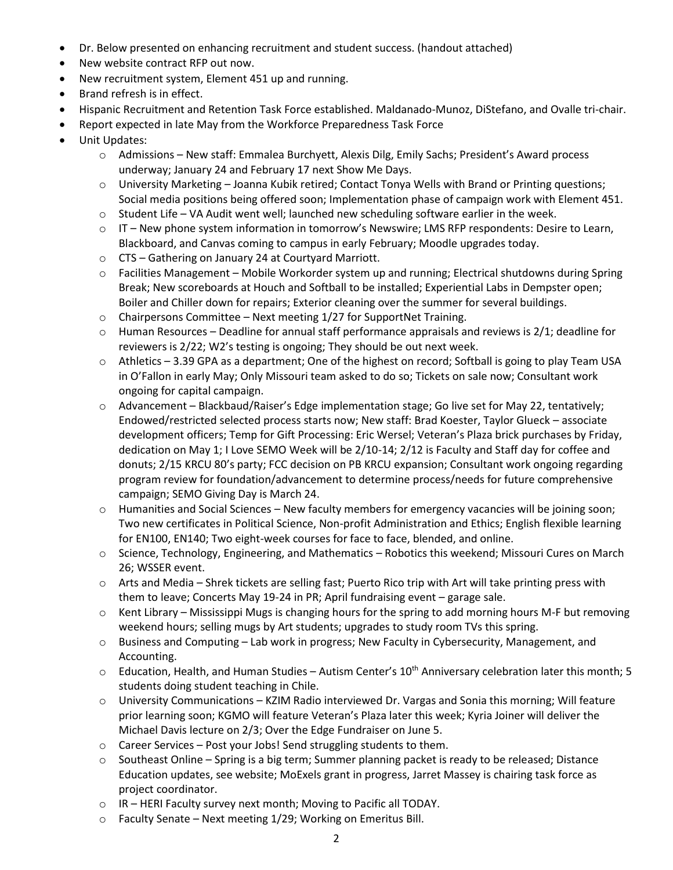- Dr. Below presented on enhancing recruitment and student success. (handout attached)
- New website contract RFP out now.
- New recruitment system, Element 451 up and running.
- Brand refresh is in effect.
- Hispanic Recruitment and Retention Task Force established. Maldanado-Munoz, DiStefano, and Ovalle tri-chair.
- Report expected in late May from the Workforce Preparedness Task Force
- Unit Updates:
	- o Admissions New staff: Emmalea Burchyett, Alexis Dilg, Emily Sachs; President's Award process underway; January 24 and February 17 next Show Me Days.
	- $\circ$  University Marketing Joanna Kubik retired; Contact Tonya Wells with Brand or Printing questions; Social media positions being offered soon; Implementation phase of campaign work with Element 451.
	- $\circ$  Student Life VA Audit went well; launched new scheduling software earlier in the week.
	- o IT New phone system information in tomorrow's Newswire; LMS RFP respondents: Desire to Learn, Blackboard, and Canvas coming to campus in early February; Moodle upgrades today.
	- o CTS Gathering on January 24 at Courtyard Marriott.
	- $\circ$  Facilities Management Mobile Workorder system up and running; Electrical shutdowns during Spring Break; New scoreboards at Houch and Softball to be installed; Experiential Labs in Dempster open; Boiler and Chiller down for repairs; Exterior cleaning over the summer for several buildings.
	- o Chairpersons Committee Next meeting 1/27 for SupportNet Training.
	- o Human Resources Deadline for annual staff performance appraisals and reviews is 2/1; deadline for reviewers is 2/22; W2's testing is ongoing; They should be out next week.
	- o Athletics 3.39 GPA as a department; One of the highest on record; Softball is going to play Team USA in O'Fallon in early May; Only Missouri team asked to do so; Tickets on sale now; Consultant work ongoing for capital campaign.
	- $\circ$  Advancement Blackbaud/Raiser's Edge implementation stage; Go live set for May 22, tentatively; Endowed/restricted selected process starts now; New staff: Brad Koester, Taylor Glueck – associate development officers; Temp for Gift Processing: Eric Wersel; Veteran's Plaza brick purchases by Friday, dedication on May 1; I Love SEMO Week will be 2/10-14; 2/12 is Faculty and Staff day for coffee and donuts; 2/15 KRCU 80's party; FCC decision on PB KRCU expansion; Consultant work ongoing regarding program review for foundation/advancement to determine process/needs for future comprehensive campaign; SEMO Giving Day is March 24.
	- o Humanities and Social Sciences New faculty members for emergency vacancies will be joining soon; Two new certificates in Political Science, Non-profit Administration and Ethics; English flexible learning for EN100, EN140; Two eight-week courses for face to face, blended, and online.
	- $\circ$  Science, Technology, Engineering, and Mathematics Robotics this weekend; Missouri Cures on March 26; WSSER event.
	- $\circ$  Arts and Media Shrek tickets are selling fast; Puerto Rico trip with Art will take printing press with them to leave; Concerts May 19-24 in PR; April fundraising event – garage sale.
	- o Kent Library Mississippi Mugs is changing hours for the spring to add morning hours M-F but removing weekend hours; selling mugs by Art students; upgrades to study room TVs this spring.
	- o Business and Computing Lab work in progress; New Faculty in Cybersecurity, Management, and Accounting.
	- $\circ$  Education, Health, and Human Studies Autism Center's 10<sup>th</sup> Anniversary celebration later this month; 5 students doing student teaching in Chile.
	- o University Communications KZIM Radio interviewed Dr. Vargas and Sonia this morning; Will feature prior learning soon; KGMO will feature Veteran's Plaza later this week; Kyria Joiner will deliver the Michael Davis lecture on 2/3; Over the Edge Fundraiser on June 5.
	- o Career Services Post your Jobs! Send struggling students to them.
	- o Southeast Online Spring is a big term; Summer planning packet is ready to be released; Distance Education updates, see website; MoExels grant in progress, Jarret Massey is chairing task force as project coordinator.
	- o IR HERI Faculty survey next month; Moving to Pacific all TODAY.
	- o Faculty Senate Next meeting 1/29; Working on Emeritus Bill.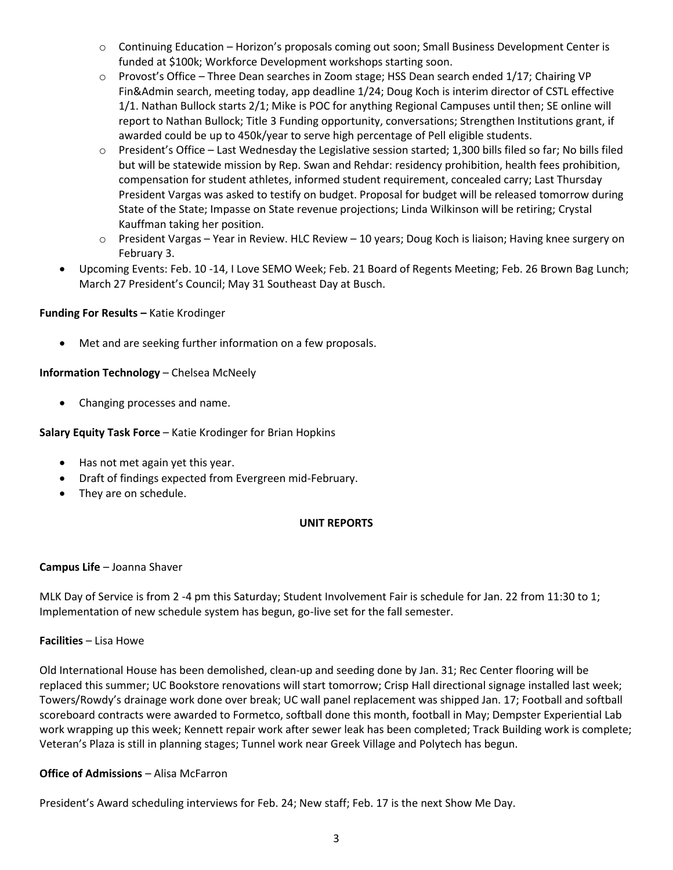- o Continuing Education Horizon's proposals coming out soon; Small Business Development Center is funded at \$100k; Workforce Development workshops starting soon.
- $\circ$  Provost's Office Three Dean searches in Zoom stage; HSS Dean search ended 1/17; Chairing VP Fin&Admin search, meeting today, app deadline 1/24; Doug Koch is interim director of CSTL effective 1/1. Nathan Bullock starts 2/1; Mike is POC for anything Regional Campuses until then; SE online will report to Nathan Bullock; Title 3 Funding opportunity, conversations; Strengthen Institutions grant, if awarded could be up to 450k/year to serve high percentage of Pell eligible students.
- o President's Office Last Wednesday the Legislative session started; 1,300 bills filed so far; No bills filed but will be statewide mission by Rep. Swan and Rehdar: residency prohibition, health fees prohibition, compensation for student athletes, informed student requirement, concealed carry; Last Thursday President Vargas was asked to testify on budget. Proposal for budget will be released tomorrow during State of the State; Impasse on State revenue projections; Linda Wilkinson will be retiring; Crystal Kauffman taking her position.
- o President Vargas Year in Review. HLC Review 10 years; Doug Koch is liaison; Having knee surgery on February 3.
- Upcoming Events: Feb. 10 -14, I Love SEMO Week; Feb. 21 Board of Regents Meeting; Feb. 26 Brown Bag Lunch; March 27 President's Council; May 31 Southeast Day at Busch.

# **Funding For Results –** Katie Krodinger

Met and are seeking further information on a few proposals.

# **Information Technology** – Chelsea McNeely

• Changing processes and name.

# **Salary Equity Task Force** – Katie Krodinger for Brian Hopkins

- Has not met again yet this year.
- Draft of findings expected from Evergreen mid-February.
- They are on schedule.

# **UNIT REPORTS**

#### **Campus Life** – Joanna Shaver

MLK Day of Service is from 2 -4 pm this Saturday; Student Involvement Fair is schedule for Jan. 22 from 11:30 to 1; Implementation of new schedule system has begun, go-live set for the fall semester.

#### **Facilities** – Lisa Howe

Old International House has been demolished, clean-up and seeding done by Jan. 31; Rec Center flooring will be replaced this summer; UC Bookstore renovations will start tomorrow; Crisp Hall directional signage installed last week; Towers/Rowdy's drainage work done over break; UC wall panel replacement was shipped Jan. 17; Football and softball scoreboard contracts were awarded to Formetco, softball done this month, football in May; Dempster Experiential Lab work wrapping up this week; Kennett repair work after sewer leak has been completed; Track Building work is complete; Veteran's Plaza is still in planning stages; Tunnel work near Greek Village and Polytech has begun.

#### **Office of Admissions** – Alisa McFarron

President's Award scheduling interviews for Feb. 24; New staff; Feb. 17 is the next Show Me Day.